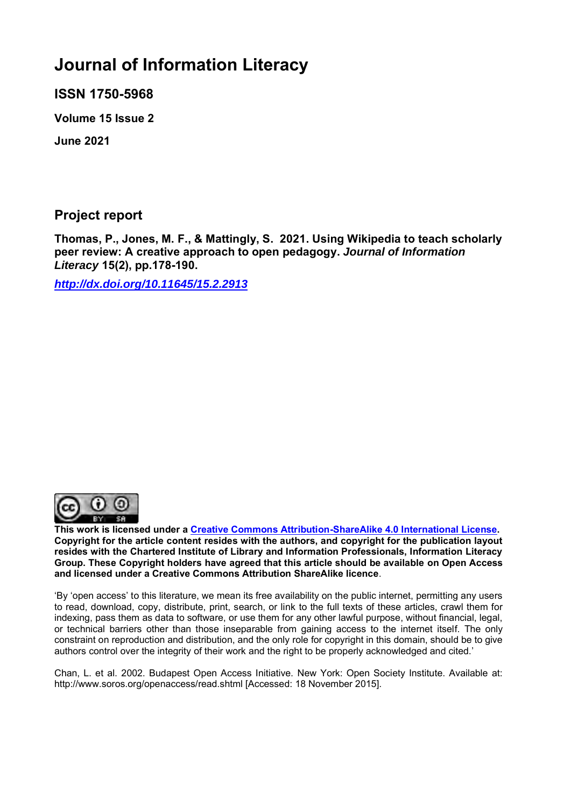# **Journal of Information Literacy**

**ISSN 1750-5968** 

**Volume 15 Issue 2**

**June 2021**

# **Project report**

**Thomas, P., Jones, M. F., & Mattingly, S. 2021. Using Wikipedia to teach scholarly peer review: A creative approach to open pedagogy.** *Journal of Information Literacy* **15(2), pp.178-190.**

*<http://dx.doi.org/10.11645/15.2.2913>*



**This work is licensed under a [Creative Commons Attribution-ShareAlike 4.0 International License.](http://creativecommons.org/licenses/by-sa/4.0/) Copyright for the article content resides with the authors, and copyright for the publication layout resides with the Chartered Institute of Library and Information Professionals, Information Literacy Group. These Copyright holders have agreed that this article should be available on Open Access and licensed under a Creative Commons Attribution ShareAlike licence**.

'By 'open access' to this literature, we mean its free availability on the public internet, permitting any users to read, download, copy, distribute, print, search, or link to the full texts of these articles, crawl them for indexing, pass them as data to software, or use them for any other lawful purpose, without financial, legal, or technical barriers other than those inseparable from gaining access to the internet itself. The only constraint on reproduction and distribution, and the only role for copyright in this domain, should be to give authors control over the integrity of their work and the right to be properly acknowledged and cited.'

Chan, L. et al. 2002. Budapest Open Access Initiative. New York: Open Society Institute. Available at: http://www.soros.org/openaccess/read.shtml [Accessed: 18 November 2015].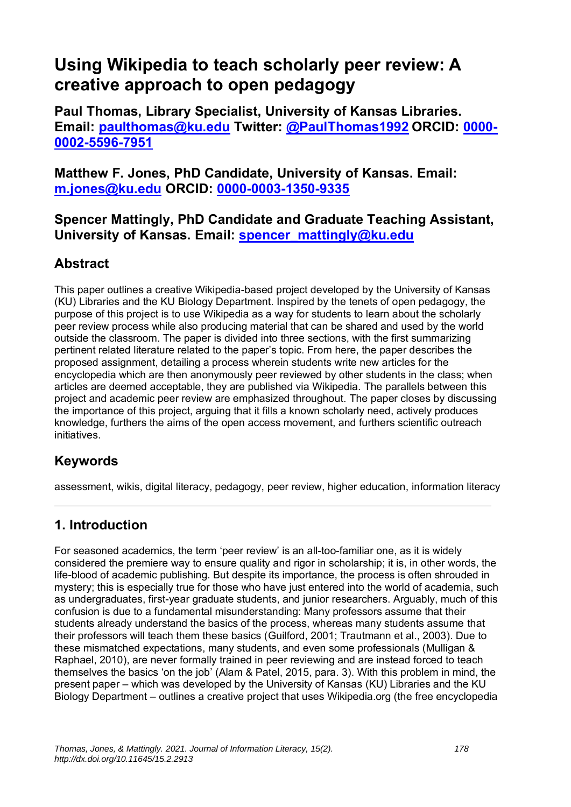# **Using Wikipedia to teach scholarly peer review: A creative approach to open pedagogy**

**Paul Thomas, Library Specialist, University of Kansas Libraries. Email: [paulthomas@ku.edu](mailto:paulthomas@ku.edu) Twitter: [@PaulThomas1992](https://eur02.safelinks.protection.outlook.com/?url=https%3A%2F%2Ftwitter.com%2FPaulThomas1992&data=04%7C01%7Cellen.s.cole%40northumbria.ac.uk%7C389640755223419a69e808d8c9f8db3c%7Ce757cfdd1f354457af8f7c9c6b1437e3%7C0%7C0%7C637481417962395546%7CUnknown%7CTWFpbGZsb3d8eyJWIjoiMC4wLjAwMDAiLCJQIjoiV2luMzIiLCJBTiI6Ik1haWwiLCJXVCI6Mn0%3D%7C1000&sdata=xthIKySzvQpLmSX2x%2FSuS240Wyy5eK%2FnVixZzmK5L1w%3D&reserved=0) ORCID: [0000-](http://orcid.org/0000-0003-1350-9335) [0002-5596-7951](http://orcid.org/0000-0003-1350-9335)**

**Matthew F. Jones, PhD Candidate, University of Kansas. Email: [m.jones@ku.edu](mailto:m.jones@ku.edu) ORCID: [0000-0003-1350-9335](http://orcid.org/0000-0003-1350-9335)**

**Spencer Mattingly, PhD Candidate and Graduate Teaching Assistant, University of Kansas. Email: [spencer\\_mattingly@ku.edu](mailto:spencer_mattingly@ku.edu)**

## **Abstract**

This paper outlines a creative Wikipedia-based project developed by the University of Kansas (KU) Libraries and the KU Biology Department. Inspired by the tenets of open pedagogy, the purpose of this project is to use Wikipedia as a way for students to learn about the scholarly peer review process while also producing material that can be shared and used by the world outside the classroom. The paper is divided into three sections, with the first summarizing pertinent related literature related to the paper's topic. From here, the paper describes the proposed assignment, detailing a process wherein students write new articles for the encyclopedia which are then anonymously peer reviewed by other students in the class; when articles are deemed acceptable, they are published via Wikipedia. The parallels between this project and academic peer review are emphasized throughout. The paper closes by discussing the importance of this project, arguing that it fills a known scholarly need, actively produces knowledge, furthers the aims of the open access movement, and furthers scientific outreach initiatives.

## **Keywords**

assessment, wikis, digital literacy, pedagogy, peer review, higher education, information literacy

## **1. Introduction**

For seasoned academics, the term 'peer review' is an all-too-familiar one, as it is widely considered the premiere way to ensure quality and rigor in scholarship; it is, in other words, the life-blood of academic publishing. But despite its importance, the process is often shrouded in mystery; this is especially true for those who have just entered into the world of academia, such as undergraduates, first-year graduate students, and junior researchers. Arguably, much of this confusion is due to a fundamental misunderstanding: Many professors assume that their students already understand the basics of the process, whereas many students assume that their professors will teach them these basics (Guilford, 2001; Trautmann et al., 2003). Due to these mismatched expectations, many students, and even some professionals (Mulligan & Raphael, 2010), are never formally trained in peer reviewing and are instead forced to teach themselves the basics 'on the job' (Alam & Patel, 2015, para. 3). With this problem in mind, the present paper – which was developed by the University of Kansas (KU) Libraries and the KU Biology Department – outlines a creative project that uses Wikipedia.org (the free encyclopedia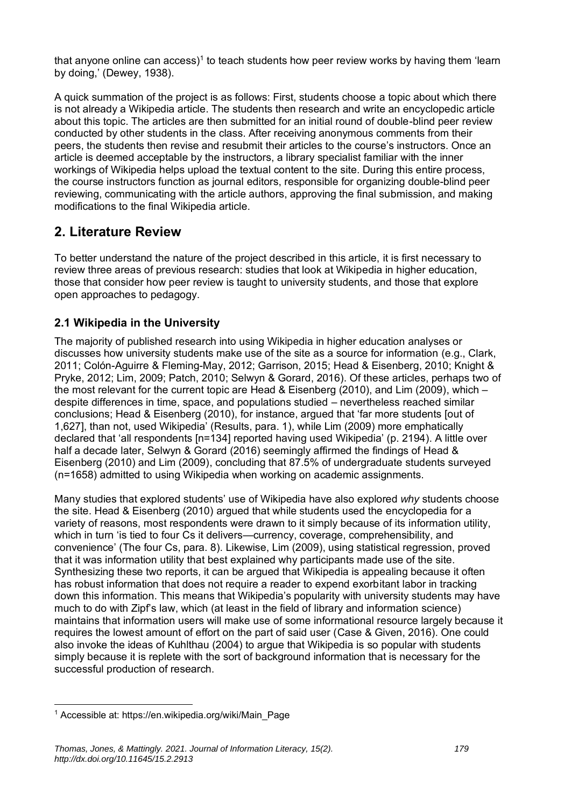that anyone online can access)<sup>1</sup> to teach students how peer review works by having them 'learn by doing,' (Dewey, 1938).

A quick summation of the project is as follows: First, students choose a topic about which there is not already a Wikipedia article. The students then research and write an encyclopedic article about this topic. The articles are then submitted for an initial round of double-blind peer review conducted by other students in the class. After receiving anonymous comments from their peers, the students then revise and resubmit their articles to the course's instructors. Once an article is deemed acceptable by the instructors, a library specialist familiar with the inner workings of Wikipedia helps upload the textual content to the site. During this entire process, the course instructors function as journal editors, responsible for organizing double-blind peer reviewing, communicating with the article authors, approving the final submission, and making modifications to the final Wikipedia article.

### **2. Literature Review**

To better understand the nature of the project described in this article, it is first necessary to review three areas of previous research: studies that look at Wikipedia in higher education, those that consider how peer review is taught to university students, and those that explore open approaches to pedagogy.

#### **2.1 Wikipedia in the University**

The majority of published research into using Wikipedia in higher education analyses or discusses how university students make use of the site as a source for information (e.g., Clark, 2011; Colón-Aguirre & Fleming-May, 2012; Garrison, 2015; Head & Eisenberg, 2010; Knight & Pryke, 2012; Lim, 2009; Patch, 2010; Selwyn & Gorard, 2016). Of these articles, perhaps two of the most relevant for the current topic are Head & Eisenberg (2010), and Lim (2009), which – despite differences in time, space, and populations studied – nevertheless reached similar conclusions; Head & Eisenberg (2010), for instance, argued that 'far more students [out of 1,627], than not, used Wikipedia' (Results, para. 1), while Lim (2009) more emphatically declared that 'all respondents [n=134] reported having used Wikipedia' (p. 2194). A little over half a decade later, Selwyn & Gorard (2016) seemingly affirmed the findings of Head & Eisenberg (2010) and Lim (2009), concluding that 87.5% of undergraduate students surveyed (n=1658) admitted to using Wikipedia when working on academic assignments.

Many studies that explored students' use of Wikipedia have also explored *why* students choose the site. Head & Eisenberg (2010) argued that while students used the encyclopedia for a variety of reasons, most respondents were drawn to it simply because of its information utility, which in turn 'is tied to four Cs it delivers—currency, coverage, comprehensibility, and convenience' (The four Cs, para. 8). Likewise, Lim (2009), using statistical regression, proved that it was information utility that best explained why participants made use of the site. Synthesizing these two reports, it can be argued that Wikipedia is appealing because it often has robust information that does not require a reader to expend exorbitant labor in tracking down this information. This means that Wikipedia's popularity with university students may have much to do with Zipf's law, which (at least in the field of library and information science) maintains that information users will make use of some informational resource largely because it requires the lowest amount of effort on the part of said user (Case & Given, 2016). One could also invoke the ideas of Kuhlthau (2004) to argue that Wikipedia is so popular with students simply because it is replete with the sort of background information that is necessary for the successful production of research.

<sup>1</sup> Accessible at: https://en.wikipedia.org/wiki/Main\_Page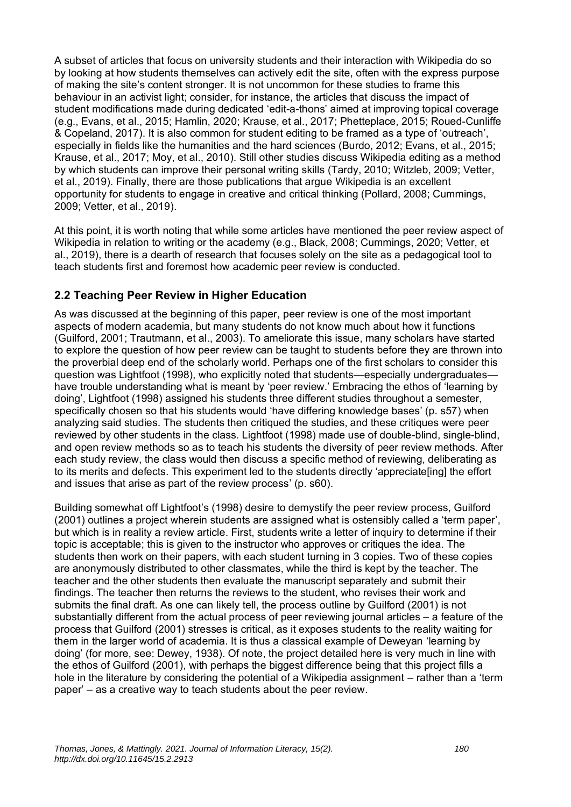A subset of articles that focus on university students and their interaction with Wikipedia do so by looking at how students themselves can actively edit the site, often with the express purpose of making the site's content stronger. It is not uncommon for these studies to frame this behaviour in an activist light; consider, for instance, the articles that discuss the impact of student modifications made during dedicated 'edit-a-thons' aimed at improving topical coverage (e.g., Evans, et al., 2015; Hamlin, 2020; Krause, et al., 2017; Phetteplace, 2015; Roued-Cunliffe & Copeland, 2017). It is also common for student editing to be framed as a type of 'outreach', especially in fields like the humanities and the hard sciences (Burdo, 2012; Evans, et al., 2015; Krause, et al., 2017; Moy, et al., 2010). Still other studies discuss Wikipedia editing as a method by which students can improve their personal writing skills (Tardy, 2010; Witzleb, 2009; Vetter, et al., 2019). Finally, there are those publications that argue Wikipedia is an excellent opportunity for students to engage in creative and critical thinking (Pollard, 2008; Cummings, 2009; Vetter, et al., 2019).

At this point, it is worth noting that while some articles have mentioned the peer review aspect of Wikipedia in relation to writing or the academy (e.g., Black, 2008; Cummings, 2020; Vetter, et al., 2019), there is a dearth of research that focuses solely on the site as a pedagogical tool to teach students first and foremost how academic peer review is conducted.

#### **2.2 Teaching Peer Review in Higher Education**

As was discussed at the beginning of this paper, peer review is one of the most important aspects of modern academia, but many students do not know much about how it functions (Guilford, 2001; Trautmann, et al., 2003). To ameliorate this issue, many scholars have started to explore the question of how peer review can be taught to students before they are thrown into the proverbial deep end of the scholarly world. Perhaps one of the first scholars to consider this question was Lightfoot (1998), who explicitly noted that students—especially undergraduates have trouble understanding what is meant by 'peer review.' Embracing the ethos of 'learning by doing', Lightfoot (1998) assigned his students three different studies throughout a semester, specifically chosen so that his students would 'have differing knowledge bases' (p. s57) when analyzing said studies. The students then critiqued the studies, and these critiques were peer reviewed by other students in the class. Lightfoot (1998) made use of double-blind, single-blind, and open review methods so as to teach his students the diversity of peer review methods. After each study review, the class would then discuss a specific method of reviewing, deliberating as to its merits and defects. This experiment led to the students directly 'appreciate[ing] the effort and issues that arise as part of the review process' (p. s60).

Building somewhat off Lightfoot's (1998) desire to demystify the peer review process, Guilford (2001) outlines a project wherein students are assigned what is ostensibly called a 'term paper', but which is in reality a review article. First, students write a letter of inquiry to determine if their topic is acceptable; this is given to the instructor who approves or critiques the idea. The students then work on their papers, with each student turning in 3 copies. Two of these copies are anonymously distributed to other classmates, while the third is kept by the teacher. The teacher and the other students then evaluate the manuscript separately and submit their findings. The teacher then returns the reviews to the student, who revises their work and submits the final draft. As one can likely tell, the process outline by Guilford (2001) is not substantially different from the actual process of peer reviewing journal articles – a feature of the process that Guilford (2001) stresses is critical, as it exposes students to the reality waiting for them in the larger world of academia. It is thus a classical example of Deweyan 'learning by doing' (for more, see: Dewey, 1938). Of note, the project detailed here is very much in line with the ethos of Guilford (2001), with perhaps the biggest difference being that this project fills a hole in the literature by considering the potential of a Wikipedia assignment – rather than a 'term paper' – as a creative way to teach students about the peer review.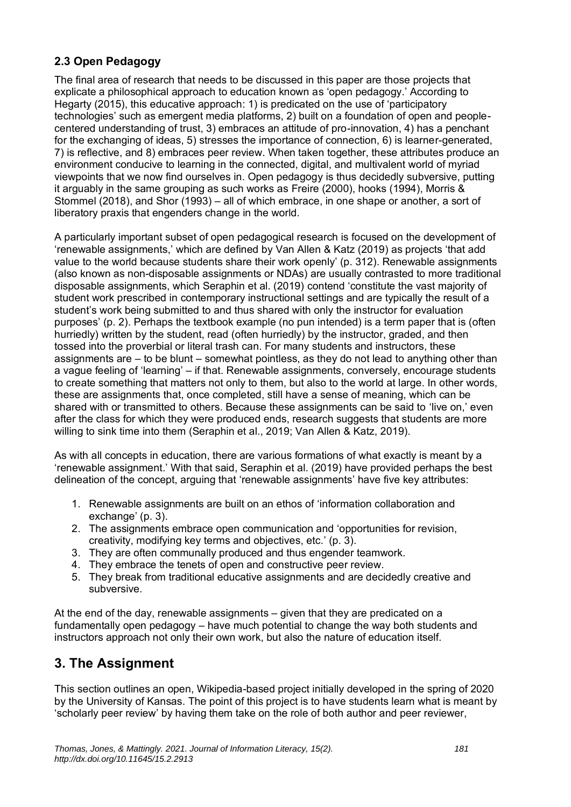#### **2.3 Open Pedagogy**

The final area of research that needs to be discussed in this paper are those projects that explicate a philosophical approach to education known as 'open pedagogy.' According to Hegarty (2015), this educative approach: 1) is predicated on the use of 'participatory technologies' such as emergent media platforms, 2) built on a foundation of open and peoplecentered understanding of trust, 3) embraces an attitude of pro-innovation, 4) has a penchant for the exchanging of ideas, 5) stresses the importance of connection, 6) is learner-generated, 7) is reflective, and 8) embraces peer review. When taken together, these attributes produce an environment conducive to learning in the connected, digital, and multivalent world of myriad viewpoints that we now find ourselves in. Open pedagogy is thus decidedly subversive, putting it arguably in the same grouping as such works as Freire (2000), hooks (1994), Morris & Stommel (2018), and Shor (1993) – all of which embrace, in one shape or another, a sort of liberatory praxis that engenders change in the world.

A particularly important subset of open pedagogical research is focused on the development of 'renewable assignments,' which are defined by Van Allen & Katz (2019) as projects 'that add value to the world because students share their work openly' (p. 312). Renewable assignments (also known as non-disposable assignments or NDAs) are usually contrasted to more traditional disposable assignments, which Seraphin et al. (2019) contend 'constitute the vast majority of student work prescribed in contemporary instructional settings and are typically the result of a student's work being submitted to and thus shared with only the instructor for evaluation purposes' (p. 2). Perhaps the textbook example (no pun intended) is a term paper that is (often hurriedly) written by the student, read (often hurriedly) by the instructor, graded, and then tossed into the proverbial or literal trash can. For many students and instructors, these assignments are – to be blunt – somewhat pointless, as they do not lead to anything other than a vague feeling of 'learning' – if that. Renewable assignments, conversely, encourage students to create something that matters not only to them, but also to the world at large. In other words, these are assignments that, once completed, still have a sense of meaning, which can be shared with or transmitted to others. Because these assignments can be said to 'live on,' even after the class for which they were produced ends, research suggests that students are more willing to sink time into them (Seraphin et al., 2019; Van Allen & Katz, 2019).

As with all concepts in education, there are various formations of what exactly is meant by a 'renewable assignment.' With that said, Seraphin et al. (2019) have provided perhaps the best delineation of the concept, arguing that 'renewable assignments' have five key attributes:

- 1. Renewable assignments are built on an ethos of 'information collaboration and exchange' (p. 3).
- 2. The assignments embrace open communication and 'opportunities for revision, creativity, modifying key terms and objectives, etc.' (p. 3).
- 3. They are often communally produced and thus engender teamwork.
- 4. They embrace the tenets of open and constructive peer review.
- 5. They break from traditional educative assignments and are decidedly creative and subversive.

At the end of the day, renewable assignments – given that they are predicated on a fundamentally open pedagogy – have much potential to change the way both students and instructors approach not only their own work, but also the nature of education itself.

# **3. The Assignment**

This section outlines an open, Wikipedia-based project initially developed in the spring of 2020 by the University of Kansas. The point of this project is to have students learn what is meant by 'scholarly peer review' by having them take on the role of both author and peer reviewer,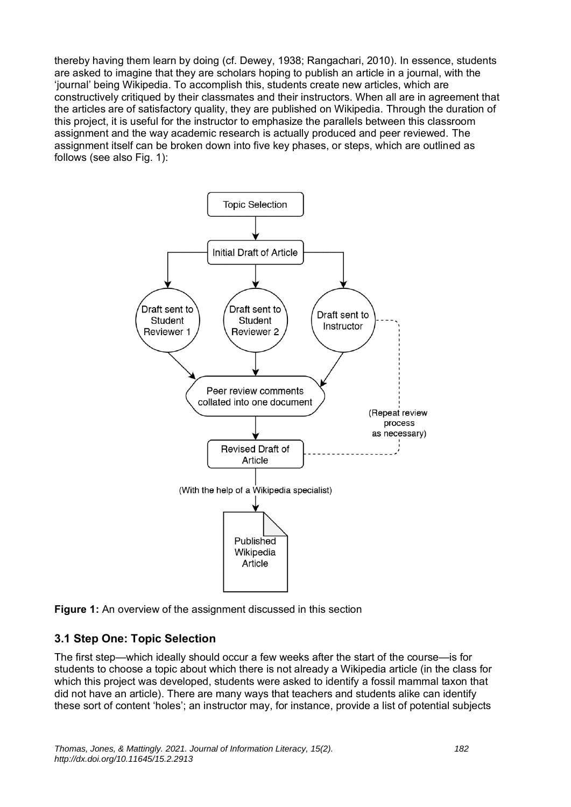thereby having them learn by doing (cf. Dewey, 1938; Rangachari, 2010). In essence, students are asked to imagine that they are scholars hoping to publish an article in a journal, with the 'journal' being Wikipedia. To accomplish this, students create new articles, which are constructively critiqued by their classmates and their instructors. When all are in agreement that the articles are of satisfactory quality, they are published on Wikipedia. Through the duration of this project, it is useful for the instructor to emphasize the parallels between this classroom assignment and the way academic research is actually produced and peer reviewed. The assignment itself can be broken down into five key phases, or steps, which are outlined as follows (see also Fig. 1):



**Figure 1:** An overview of the assignment discussed in this section

#### **3.1 Step One: Topic Selection**

The first step—which ideally should occur a few weeks after the start of the course—is for students to choose a topic about which there is not already a Wikipedia article (in the class for which this project was developed, students were asked to identify a fossil mammal taxon that did not have an article). There are many ways that teachers and students alike can identify these sort of content 'holes'; an instructor may, for instance, provide a list of potential subjects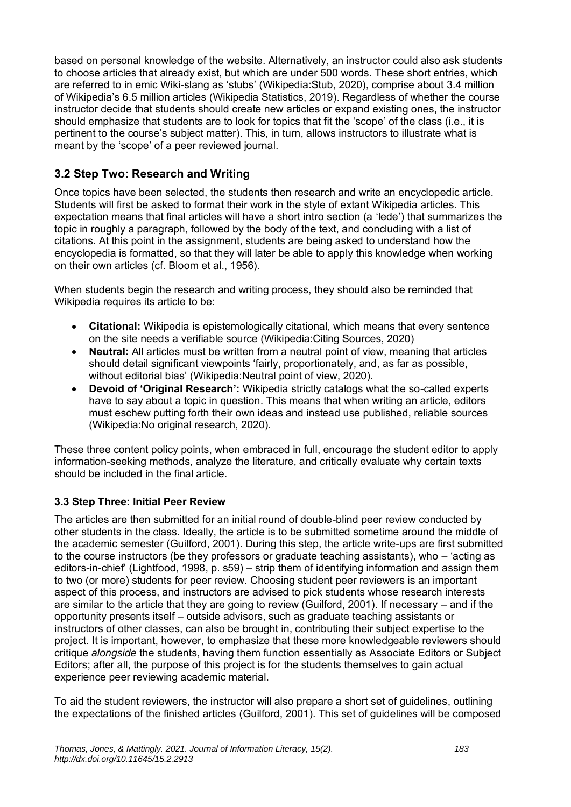based on personal knowledge of the website. Alternatively, an instructor could also ask students to choose articles that already exist, but which are under 500 words. These short entries, which are referred to in emic Wiki-slang as 'stubs' (Wikipedia:Stub, 2020), comprise about 3.4 million of Wikipedia's 6.5 million articles (Wikipedia Statistics, 2019). Regardless of whether the course instructor decide that students should create new articles or expand existing ones, the instructor should emphasize that students are to look for topics that fit the 'scope' of the class (i.e., it is pertinent to the course's subject matter). This, in turn, allows instructors to illustrate what is meant by the 'scope' of a peer reviewed journal.

#### **3.2 Step Two: Research and Writing**

Once topics have been selected, the students then research and write an encyclopedic article. Students will first be asked to format their work in the style of extant Wikipedia articles. This expectation means that final articles will have a short intro section (a 'lede') that summarizes the topic in roughly a paragraph, followed by the body of the text, and concluding with a list of citations. At this point in the assignment, students are being asked to understand how the encyclopedia is formatted, so that they will later be able to apply this knowledge when working on their own articles (cf. Bloom et al., 1956).

When students begin the research and writing process, they should also be reminded that Wikipedia requires its article to be:

- **Citational:** Wikipedia is epistemologically citational, which means that every sentence on the site needs a verifiable source (Wikipedia:Citing Sources, 2020)
- **Neutral:** All articles must be written from a neutral point of view, meaning that articles should detail significant viewpoints 'fairly, proportionately, and, as far as possible, without editorial bias' (Wikipedia:Neutral point of view, 2020).
- **Devoid of 'Original Research':** Wikipedia strictly catalogs what the so-called experts have to say about a topic in question. This means that when writing an article, editors must eschew putting forth their own ideas and instead use published, reliable sources (Wikipedia:No original research, 2020).

These three content policy points, when embraced in full, encourage the student editor to apply information-seeking methods, analyze the literature, and critically evaluate why certain texts should be included in the final article.

#### **3.3 Step Three: Initial Peer Review**

The articles are then submitted for an initial round of double-blind peer review conducted by other students in the class. Ideally, the article is to be submitted sometime around the middle of the academic semester (Guilford, 2001). During this step, the article write-ups are first submitted to the course instructors (be they professors or graduate teaching assistants), who – 'acting as editors-in-chief' (Lightfood, 1998, p. s59) – strip them of identifying information and assign them to two (or more) students for peer review. Choosing student peer reviewers is an important aspect of this process, and instructors are advised to pick students whose research interests are similar to the article that they are going to review (Guilford, 2001). If necessary – and if the opportunity presents itself – outside advisors, such as graduate teaching assistants or instructors of other classes, can also be brought in, contributing their subject expertise to the project. It is important, however, to emphasize that these more knowledgeable reviewers should critique *alongside* the students, having them function essentially as Associate Editors or Subject Editors; after all, the purpose of this project is for the students themselves to gain actual experience peer reviewing academic material.

To aid the student reviewers, the instructor will also prepare a short set of guidelines, outlining the expectations of the finished articles (Guilford, 2001). This set of guidelines will be composed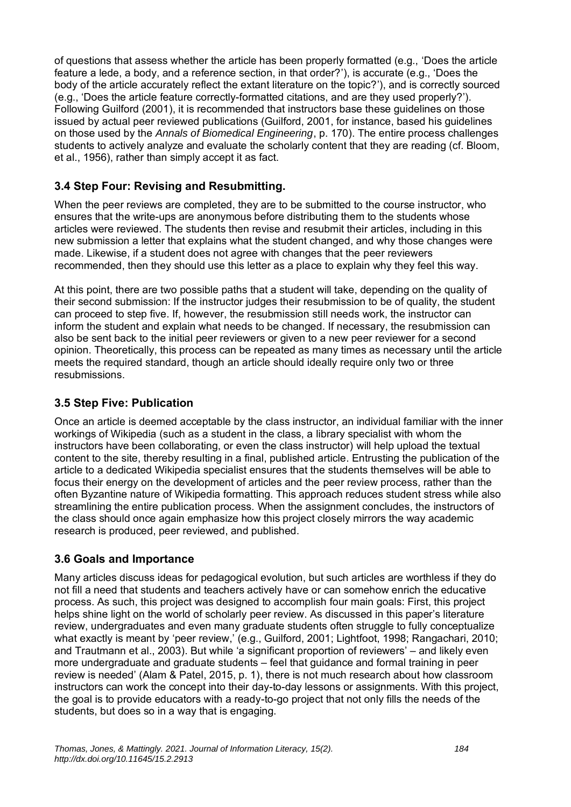of questions that assess whether the article has been properly formatted (e.g., 'Does the article feature a lede, a body, and a reference section, in that order?'), is accurate (e.g., 'Does the body of the article accurately reflect the extant literature on the topic?'), and is correctly sourced (e.g., 'Does the article feature correctly-formatted citations, and are they used properly?'). Following Guilford (2001), it is recommended that instructors base these guidelines on those issued by actual peer reviewed publications (Guilford, 2001, for instance, based his guidelines on those used by the *Annals of Biomedical Engineering*, p. 170). The entire process challenges students to actively analyze and evaluate the scholarly content that they are reading (cf. Bloom, et al., 1956), rather than simply accept it as fact.

#### **3.4 Step Four: Revising and Resubmitting.**

When the peer reviews are completed, they are to be submitted to the course instructor, who ensures that the write-ups are anonymous before distributing them to the students whose articles were reviewed. The students then revise and resubmit their articles, including in this new submission a letter that explains what the student changed, and why those changes were made. Likewise, if a student does not agree with changes that the peer reviewers recommended, then they should use this letter as a place to explain why they feel this way.

At this point, there are two possible paths that a student will take, depending on the quality of their second submission: If the instructor judges their resubmission to be of quality, the student can proceed to step five. If, however, the resubmission still needs work, the instructor can inform the student and explain what needs to be changed. If necessary, the resubmission can also be sent back to the initial peer reviewers or given to a new peer reviewer for a second opinion. Theoretically, this process can be repeated as many times as necessary until the article meets the required standard, though an article should ideally require only two or three resubmissions.

#### **3.5 Step Five: Publication**

Once an article is deemed acceptable by the class instructor, an individual familiar with the inner workings of Wikipedia (such as a student in the class, a library specialist with whom the instructors have been collaborating, or even the class instructor) will help upload the textual content to the site, thereby resulting in a final, published article. Entrusting the publication of the article to a dedicated Wikipedia specialist ensures that the students themselves will be able to focus their energy on the development of articles and the peer review process, rather than the often Byzantine nature of Wikipedia formatting. This approach reduces student stress while also streamlining the entire publication process. When the assignment concludes, the instructors of the class should once again emphasize how this project closely mirrors the way academic research is produced, peer reviewed, and published.

#### **3.6 Goals and Importance**

Many articles discuss ideas for pedagogical evolution, but such articles are worthless if they do not fill a need that students and teachers actively have or can somehow enrich the educative process. As such, this project was designed to accomplish four main goals: First, this project helps shine light on the world of scholarly peer review. As discussed in this paper's literature review, undergraduates and even many graduate students often struggle to fully conceptualize what exactly is meant by 'peer review,' (e.g., Guilford, 2001; Lightfoot, 1998; Rangachari, 2010; and Trautmann et al., 2003). But while 'a significant proportion of reviewers' – and likely even more undergraduate and graduate students – feel that guidance and formal training in peer review is needed' (Alam & Patel, 2015, p. 1), there is not much research about how classroom instructors can work the concept into their day-to-day lessons or assignments. With this project, the goal is to provide educators with a ready-to-go project that not only fills the needs of the students, but does so in a way that is engaging.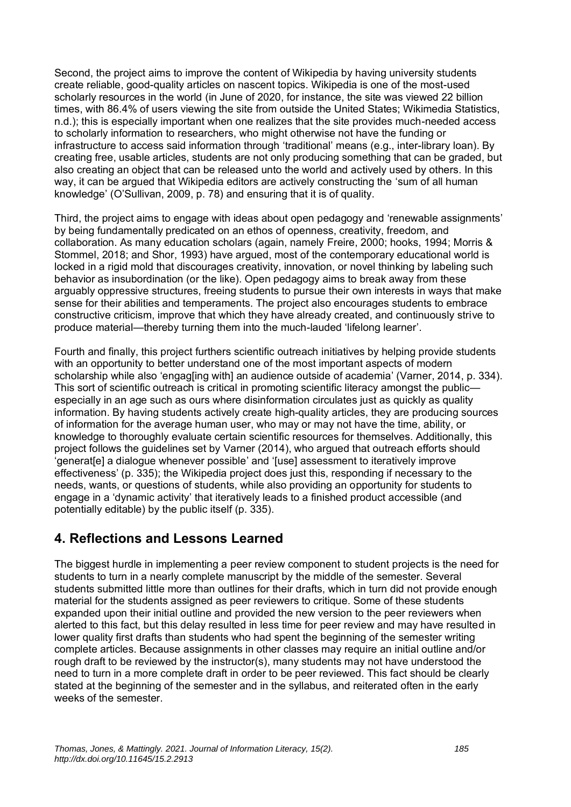Second, the project aims to improve the content of Wikipedia by having university students create reliable, good-quality articles on nascent topics. Wikipedia is one of the most-used scholarly resources in the world (in June of 2020, for instance, the site was viewed 22 billion times, with 86.4% of users viewing the site from outside the United States; Wikimedia Statistics, n.d.); this is especially important when one realizes that the site provides much-needed access to scholarly information to researchers, who might otherwise not have the funding or infrastructure to access said information through 'traditional' means (e.g., inter-library loan). By creating free, usable articles, students are not only producing something that can be graded, but also creating an object that can be released unto the world and actively used by others. In this way, it can be argued that Wikipedia editors are actively constructing the 'sum of all human knowledge' (O'Sullivan, 2009, p. 78) and ensuring that it is of quality.

Third, the project aims to engage with ideas about open pedagogy and 'renewable assignments' by being fundamentally predicated on an ethos of openness, creativity, freedom, and collaboration. As many education scholars (again, namely Freire, 2000; hooks, 1994; Morris & Stommel, 2018; and Shor, 1993) have argued, most of the contemporary educational world is locked in a rigid mold that discourages creativity, innovation, or novel thinking by labeling such behavior as insubordination (or the like). Open pedagogy aims to break away from these arguably oppressive structures, freeing students to pursue their own interests in ways that make sense for their abilities and temperaments. The project also encourages students to embrace constructive criticism, improve that which they have already created, and continuously strive to produce material—thereby turning them into the much-lauded 'lifelong learner'.

Fourth and finally, this project furthers scientific outreach initiatives by helping provide students with an opportunity to better understand one of the most important aspects of modern scholarship while also 'engaging with an audience outside of academia' (Varner, 2014, p. 334). This sort of scientific outreach is critical in promoting scientific literacy amongst the public especially in an age such as ours where disinformation circulates just as quickly as quality information. By having students actively create high-quality articles, they are producing sources of information for the average human user, who may or may not have the time, ability, or knowledge to thoroughly evaluate certain scientific resources for themselves. Additionally, this project follows the guidelines set by Varner (2014), who argued that outreach efforts should 'generat[e] a dialogue whenever possible' and '[use] assessment to iteratively improve effectiveness' (p. 335); the Wikipedia project does just this, responding if necessary to the needs, wants, or questions of students, while also providing an opportunity for students to engage in a 'dynamic activity' that iteratively leads to a finished product accessible (and potentially editable) by the public itself (p. 335).

## **4. Reflections and Lessons Learned**

The biggest hurdle in implementing a peer review component to student projects is the need for students to turn in a nearly complete manuscript by the middle of the semester. Several students submitted little more than outlines for their drafts, which in turn did not provide enough material for the students assigned as peer reviewers to critique. Some of these students expanded upon their initial outline and provided the new version to the peer reviewers when alerted to this fact, but this delay resulted in less time for peer review and may have resulted in lower quality first drafts than students who had spent the beginning of the semester writing complete articles. Because assignments in other classes may require an initial outline and/or rough draft to be reviewed by the instructor(s), many students may not have understood the need to turn in a more complete draft in order to be peer reviewed. This fact should be clearly stated at the beginning of the semester and in the syllabus, and reiterated often in the early weeks of the semester.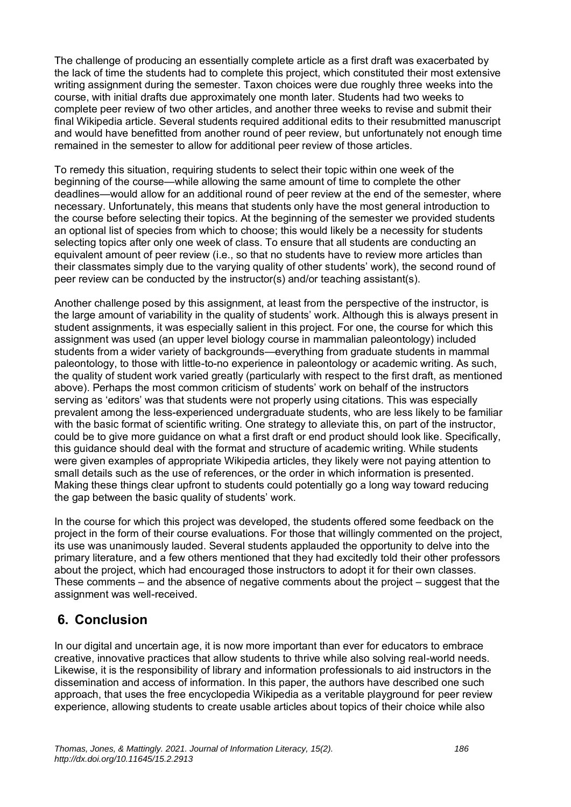The challenge of producing an essentially complete article as a first draft was exacerbated by the lack of time the students had to complete this project, which constituted their most extensive writing assignment during the semester. Taxon choices were due roughly three weeks into the course, with initial drafts due approximately one month later. Students had two weeks to complete peer review of two other articles, and another three weeks to revise and submit their final Wikipedia article. Several students required additional edits to their resubmitted manuscript and would have benefitted from another round of peer review, but unfortunately not enough time remained in the semester to allow for additional peer review of those articles.

To remedy this situation, requiring students to select their topic within one week of the beginning of the course—while allowing the same amount of time to complete the other deadlines—would allow for an additional round of peer review at the end of the semester, where necessary. Unfortunately, this means that students only have the most general introduction to the course before selecting their topics. At the beginning of the semester we provided students an optional list of species from which to choose; this would likely be a necessity for students selecting topics after only one week of class. To ensure that all students are conducting an equivalent amount of peer review (i.e., so that no students have to review more articles than their classmates simply due to the varying quality of other students' work), the second round of peer review can be conducted by the instructor(s) and/or teaching assistant(s).

Another challenge posed by this assignment, at least from the perspective of the instructor, is the large amount of variability in the quality of students' work. Although this is always present in student assignments, it was especially salient in this project. For one, the course for which this assignment was used (an upper level biology course in mammalian paleontology) included students from a wider variety of backgrounds—everything from graduate students in mammal paleontology, to those with little-to-no experience in paleontology or academic writing. As such, the quality of student work varied greatly (particularly with respect to the first draft, as mentioned above). Perhaps the most common criticism of students' work on behalf of the instructors serving as 'editors' was that students were not properly using citations. This was especially prevalent among the less-experienced undergraduate students, who are less likely to be familiar with the basic format of scientific writing. One strategy to alleviate this, on part of the instructor, could be to give more guidance on what a first draft or end product should look like. Specifically, this guidance should deal with the format and structure of academic writing. While students were given examples of appropriate Wikipedia articles, they likely were not paying attention to small details such as the use of references, or the order in which information is presented. Making these things clear upfront to students could potentially go a long way toward reducing the gap between the basic quality of students' work.

In the course for which this project was developed, the students offered some feedback on the project in the form of their course evaluations. For those that willingly commented on the project, its use was unanimously lauded. Several students applauded the opportunity to delve into the primary literature, and a few others mentioned that they had excitedly told their other professors about the project, which had encouraged those instructors to adopt it for their own classes. These comments – and the absence of negative comments about the project – suggest that the assignment was well-received.

# **6. Conclusion**

In our digital and uncertain age, it is now more important than ever for educators to embrace creative, innovative practices that allow students to thrive while also solving real-world needs. Likewise, it is the responsibility of library and information professionals to aid instructors in the dissemination and access of information. In this paper, the authors have described one such approach, that uses the free encyclopedia Wikipedia as a veritable playground for peer review experience, allowing students to create usable articles about topics of their choice while also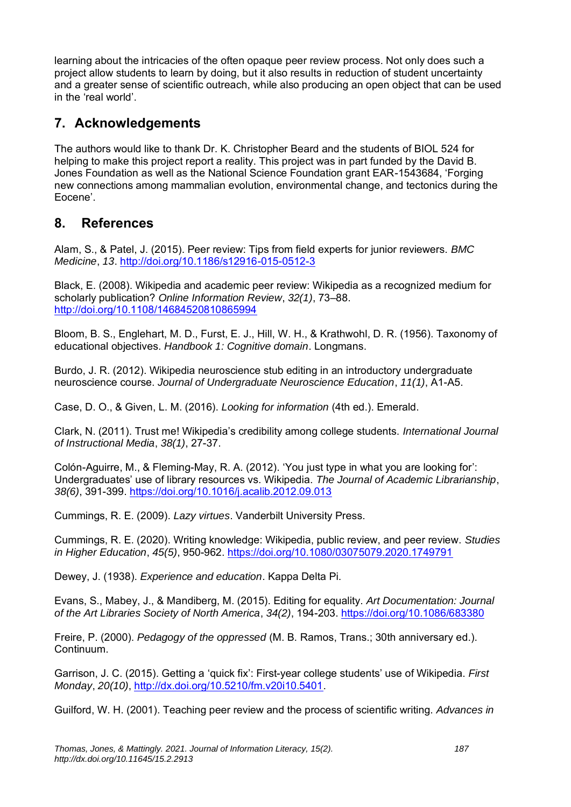learning about the intricacies of the often opaque peer review process. Not only does such a project allow students to learn by doing, but it also results in reduction of student uncertainty and a greater sense of scientific outreach, while also producing an open object that can be used in the 'real world'.

# **7. Acknowledgements**

The authors would like to thank Dr. K. Christopher Beard and the students of BIOL 524 for helping to make this project report a reality. This project was in part funded by the David B. Jones Foundation as well as the National Science Foundation grant EAR-1543684, 'Forging new connections among mammalian evolution, environmental change, and tectonics during the Eocene'.

## **8. References**

Alam, S., & Patel, J. (2015). Peer review: Tips from field experts for junior reviewers. *BMC Medicine*, *13*. <http://doi.org/10.1186/s12916-015-0512-3>

Black, E. (2008). Wikipedia and academic peer review: Wikipedia as a recognized medium for scholarly publication? *Online Information Review*, *32(1)*, 73–88. <http://doi.org/10.1108/14684520810865994>

Bloom, B. S., Englehart, M. D., Furst, E. J., Hill, W. H., & Krathwohl, D. R. (1956). Taxonomy of educational objectives. *Handbook 1: Cognitive domain*. Longmans.

Burdo, J. R. (2012). Wikipedia neuroscience stub editing in an introductory undergraduate neuroscience course. *Journal of Undergraduate Neuroscience Education*, *11(1)*, A1-A5.

Case, D. O., & Given, L. M. (2016). *Looking for information* (4th ed.). Emerald.

Clark, N. (2011). Trust me! Wikipedia's credibility among college students. *International Journal of Instructional Media*, *38(1)*, 27-37.

Colón-Aguirre, M., & Fleming-May, R. A. (2012). 'You just type in what you are looking for': Undergraduates' use of library resources vs. Wikipedia. *The Journal of Academic Librarianship*, *38(6)*, 391-399.<https://doi.org/10.1016/j.acalib.2012.09.013>

Cummings, R. E. (2009). *Lazy virtues*. Vanderbilt University Press.

Cummings, R. E. (2020). Writing knowledge: Wikipedia, public review, and peer review. *Studies in Higher Education*, *45(5)*, 950-962. <https://doi.org/10.1080/03075079.2020.1749791>

Dewey, J. (1938). *Experience and education*. Kappa Delta Pi.

Evans, S., Mabey, J., & Mandiberg, M. (2015). Editing for equality. *Art Documentation: Journal of the Art Libraries Society of North America*, *34(2)*, 194-203.<https://doi.org/10.1086/683380>

Freire, P. (2000). *Pedagogy of the oppressed* (M. B. Ramos, Trans.; 30th anniversary ed.). Continuum.

Garrison, J. C. (2015). Getting a 'quick fix': First-year college students' use of Wikipedia. *First Monday*, *20(10)*, [http://dx.doi.org/10.5210/fm.v20i10.5401.](http://dx.doi.org/10.5210/fm.v20i10.5401)

Guilford, W. H. (2001). Teaching peer review and the process of scientific writing. *Advances in*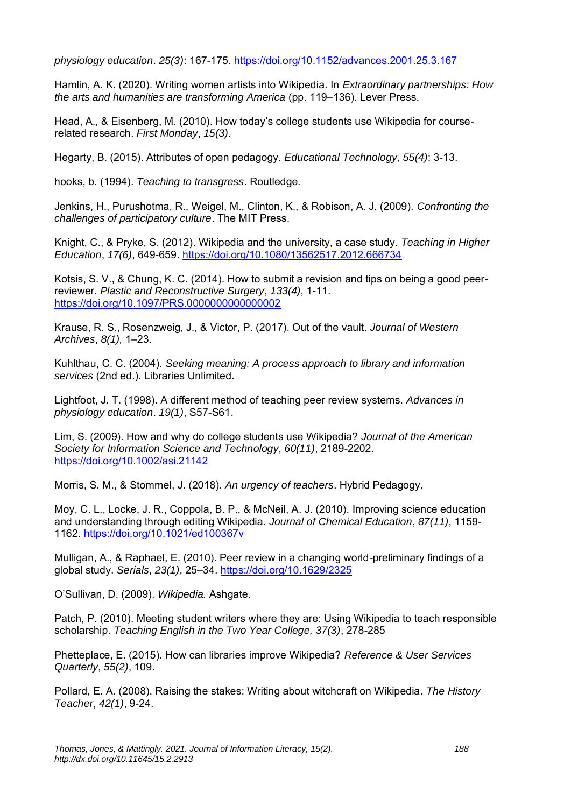*physiology education*. *25(3)*: 167-175.<https://doi.org/10.1152/advances.2001.25.3.167>

Hamlin, A. K. (2020). Writing women artists into Wikipedia. In *Extraordinary partnerships: How the arts and humanities are transforming America* (pp. 119–136). Lever Press.

Head, A., & Eisenberg, M. (2010). How today's college students use Wikipedia for courserelated research. *First Monday*, *15(3)*.

Hegarty, B. (2015). Attributes of open pedagogy. *Educational Technology*, *55(4)*: 3-13.

hooks, b. (1994). *Teaching to transgress*. Routledge.

Jenkins, H., Purushotma, R., Weigel, M., Clinton, K., & Robison, A. J. (2009). *Confronting the challenges of participatory culture*. The MIT Press.

Knight, C., & Pryke, S. (2012). Wikipedia and the university, a case study. *Teaching in Higher Education*, *17(6)*, 649-659.<https://doi.org/10.1080/13562517.2012.666734>

Kotsis, S. V., & Chung, K. C. (2014). How to submit a revision and tips on being a good peerreviewer. *Plastic and Reconstructive Surgery*, *133(4)*, 1-11. <https://doi.org/10.1097/PRS.0000000000000002>

Krause, R. S., Rosenzweig, J., & Victor, P. (2017). Out of the vault. *Journal of Western Archives*, *8(1),* 1–23.

Kuhlthau, C. C. (2004). *Seeking meaning: A process approach to library and information services* (2nd ed.). Libraries Unlimited.

Lightfoot, J. T. (1998). A different method of teaching peer review systems. *Advances in physiology education*. *19(1)*, S57-S61.

Lim, S. (2009). How and why do college students use Wikipedia? *Journal of the American Society for Information Science and Technology*, *60(11)*, 2189-2202. <https://doi.org/10.1002/asi.21142>

Morris, S. M., & Stommel, J. (2018). *An urgency of teachers*. Hybrid Pedagogy.

Moy, C. L., Locke, J. R., Coppola, B. P., & McNeil, A. J. (2010). Improving science education and understanding through editing Wikipedia. *Journal of Chemical Education*, *87(11)*, 1159- 1162.<https://doi.org/10.1021/ed100367v>

Mulligan, A., & Raphael, E. (2010). Peer review in a changing world-preliminary findings of a global study. *Serials*, *23(1)*, 25–34.<https://doi.org/10.1629/2325>

O'Sullivan, D. (2009). *Wikipedia.* Ashgate.

Patch, P. (2010). Meeting student writers where they are: Using Wikipedia to teach responsible scholarship. *Teaching English in the Two Year College, 37(3)*, 278-285

Phetteplace, E. (2015). How can libraries improve Wikipedia? *Reference & User Services Quarterly*, *55(2)*, 109.

Pollard, E. A. (2008). Raising the stakes: Writing about witchcraft on Wikipedia. *The History Teacher*, *42(1)*, 9-24.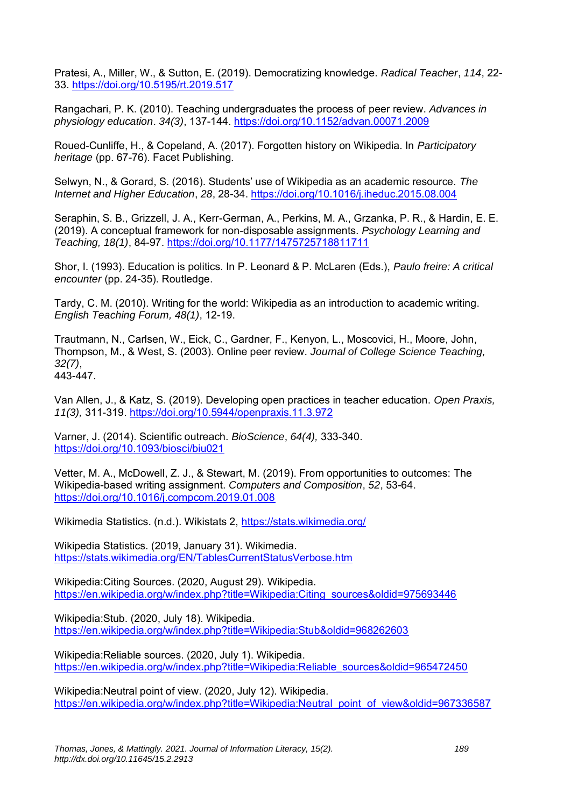Pratesi, A., Miller, W., & Sutton, E. (2019). Democratizing knowledge. *Radical Teacher*, *114*, 22- 33.<https://doi.org/10.5195/rt.2019.517>

Rangachari, P. K. (2010). Teaching undergraduates the process of peer review. *Advances in physiology education*. *34(3)*, 137-144.<https://doi.org/10.1152/advan.00071.2009>

Roued-Cunliffe, H., & Copeland, A. (2017). Forgotten history on Wikipedia. In *Participatory heritage* (pp. 67-76). Facet Publishing.

Selwyn, N., & Gorard, S. (2016). Students' use of Wikipedia as an academic resource. *The Internet and Higher Education*, *28*, 28-34.<https://doi.org/10.1016/j.iheduc.2015.08.004>

Seraphin, S. B., Grizzell, J. A., Kerr-German, A., Perkins, M. A., Grzanka, P. R., & Hardin, E. E. (2019). A conceptual framework for non-disposable assignments. *Psychology Learning and Teaching, 18(1)*, 84-97.<https://doi.org/10.1177/1475725718811711>

Shor, I. (1993). Education is politics. In P. Leonard & P. McLaren (Eds.), *Paulo freire: A critical encounter* (pp. 24-35). Routledge.

Tardy, C. M. (2010). Writing for the world: Wikipedia as an introduction to academic writing. *English Teaching Forum, 48(1)*, 12-19.

Trautmann, N., Carlsen, W., Eick, C., Gardner, F., Kenyon, L., Moscovici, H., Moore, John, Thompson, M., & West, S. (2003). Online peer review. *Journal of College Science Teaching, 32(7)*, 443-447.

Van Allen, J., & Katz, S. (2019). Developing open practices in teacher education. *Open Praxis, 11(3),* 311-319.<https://doi.org/10.5944/openpraxis.11.3.972>

Varner, J. (2014). Scientific outreach. *BioScience*, *64(4),* 333-340. <https://doi.org/10.1093/biosci/biu021>

Vetter, M. A., McDowell, Z. J., & Stewart, M. (2019). From opportunities to outcomes: The Wikipedia-based writing assignment. *Computers and Composition*, *52*, 53-64. <https://doi.org/10.1016/j.compcom.2019.01.008>

Wikimedia Statistics. (n.d.). Wikistats 2,<https://stats.wikimedia.org/>

Wikipedia Statistics. (2019, January 31). Wikimedia. <https://stats.wikimedia.org/EN/TablesCurrentStatusVerbose.htm>

Wikipedia:Citing Sources. (2020, August 29). Wikipedia. [https://en.wikipedia.org/w/index.php?title=Wikipedia:Citing\\_sources&oldid=975693446](https://en.wikipedia.org/w/index.php?title=Wikipedia:Citing_sources&oldid=975693446)

Wikipedia:Stub. (2020, July 18). Wikipedia. <https://en.wikipedia.org/w/index.php?title=Wikipedia:Stub&oldid=968262603>

Wikipedia:Reliable sources. (2020, July 1). Wikipedia. [https://en.wikipedia.org/w/index.php?title=Wikipedia:Reliable\\_sources&oldid=965472450](https://en.wikipedia.org/w/index.php?title=Wikipedia:Reliable_sources&oldid=965472450)

Wikipedia:Neutral point of view. (2020, July 12). Wikipedia. [https://en.wikipedia.org/w/index.php?title=Wikipedia:Neutral\\_point\\_of\\_view&oldid=967336587](https://en.wikipedia.org/w/index.php?title=Wikipedia:Neutral_point_of_view&oldid=967336587)